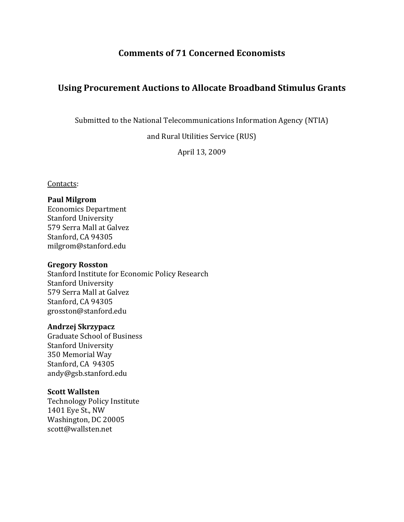## **Comments of 71 Concerned Economists**

## **Using Procurement Auctions to Allocate Broadband Stimulus Grants**

Submitted to the National Telecommunications Information Agency (NTIA)

and Rural Utilities Service (RUS)

April 13, 2009

### Contacts:

### **Paul Milgrom**

Economics Department Stanford University 579 Serra Mall at Galvez Stanford, CA 94305 milgrom@stanford.edu

#### **Gregory Rosston**

Stanford Institute for Economic Policy Research Stanford University 579 Serra Mall at Galvez Stanford, CA 94305 grosston@stanford.edu

### **Andrzej Skrzypacz**

Graduate School of Business Stanford University 350 Memorial Way Stanford, CA 94305 andy@gsb.stanford.edu

### **Scott Wallsten**

Technology Policy Institute Washington, DC 20005 1401 Eye St., NW scott@wallsten.net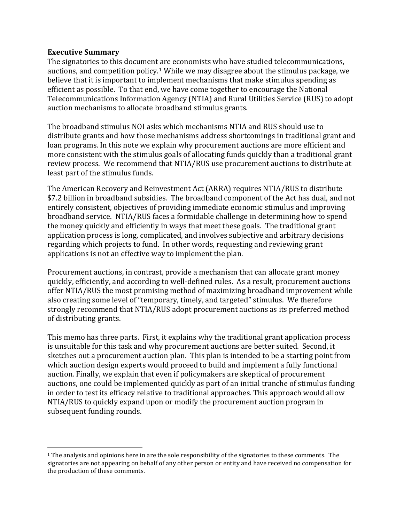### **Executive Summary**

The signatories to this document are economists who have studied telecommunications, auctions, and competition policy.[1](#page-1-0) While we may disagree about the stimulus package, we believe that it is important to implement mechanisms that make stimulus spending as efficient as possible. To that end, we have come together to encourage the National Telecommunications Information Agency (NTIA) and Rural Utilities Service (RUS) to adopt auction mechanisms to allocate broadband stimulus grants.

The broadband stimulus NOI asks which mechanisms NTIA and RUS should use to distribute grants and how those mechanisms address shortcomings in traditional grant and loan programs. In this note we explain why procurement auctions are more efficient and more consistent with the stimulus goals of allocating funds quickly than a traditional grant review process. We recommend that NTIA/RUS use procurement auctions to distribute at least part of the stimulus funds.

The American Recovery and Reinvestment Act (ARRA) requires NTIA/RUS to distribute \$7.2 billion in broadband subsidies. The broadband component of the Act has dual, and not entirely consistent, objectives of providing immediate economic stimulus and improving broadband service. NTIA/RUS faces a formidable challenge in determining how to spend the money quickly and efficiently in ways that meet these goals. The traditional grant application process is long, complicated, and involves subjective and arbitrary decisions regarding which projects to fund. In other words, requesting and reviewing grant applications is not an effective way to implement the plan.

Procurement auctions, in contrast, provide a mechanism that can allocate grant money quickly, efficiently, and according to well‐defined rules. As a result, procurement auctions offer NTIA/RUS the most promising method of maximizing broadband improvement while also creating some level of "temporary, timely, and targeted" stimulus. We therefore strongly recommend that NTIA/RUS adopt procurement auctions as its preferred method of distributing grants.

This memo has three parts. First, it explains why the traditional grant application process is unsuitable for this task and why procurement auctions are better suited. Second, it sketches out a procurement auction plan. This plan is intended to be a starting point from which auction design experts would proceed to build and implement a fully functional auction. Finally, we explain that even if policymakers are skeptical of procurement auctions, one could be implemented quickly as part of an initial tranche of stimulus funding in order to test its efficacy relative to traditional approaches. This approach would allow NTIA/RUS to quickly expand upon or modify the procurement auction program in subsequent funding rounds.

<span id="page-1-0"></span> $1$  The analysis and opinions here in are the sole responsibility of the signatories to these comments. The signatories are not appearing on behalf of any other person or entity and have received no compensation for the production of these comments.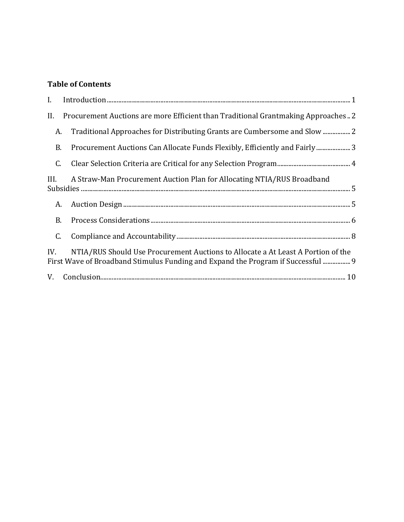## **[T](#page-4-0)able of [Contents](#page-3-0)**

| I.        |                                                                                                                                                                      |
|-----------|----------------------------------------------------------------------------------------------------------------------------------------------------------------------|
| II.       | Procurement Auctions are more Efficient than Traditional Grantmaking Approaches2                                                                                     |
| A.        | Traditional Approaches for Distributing Grants are Cumbersome and Slow                                                                                               |
| <b>B.</b> | Procurement Auctions Can Allocate Funds Flexibly, Efficiently and Fairly 3                                                                                           |
| C.        |                                                                                                                                                                      |
| III.      | A Straw-Man Procurement Auction Plan for Allocating NTIA/RUS Broadband                                                                                               |
| A.        |                                                                                                                                                                      |
| <b>B.</b> |                                                                                                                                                                      |
| C.        |                                                                                                                                                                      |
| IV.       | NTIA/RUS Should Use Procurement Auctions to Allocate a At Least A Portion of the<br>First Wave of Broadband Stimulus Funding and Expand the Program if Successful  9 |
|           |                                                                                                                                                                      |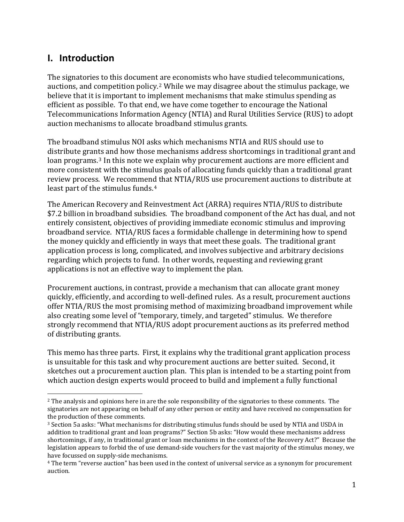## <span id="page-3-0"></span>**I. Introduction**

The signatories to this document [a](#page-3-1)re economists who have studied telecommunications, auctions, and competition policy.2 While we may disagree about the stimulus package, we believe that it is important to implement mechanisms that make stimulus spending as efficient as possible. To that end, we have come together to encourage the National Telecommunications Information Agency (NTIA) and Rural Utilities Service (RUS) to adopt auction mechanisms to allocate broadband stimulus grants.

The broadband stimulus NOI asks which mechanisms NTIA and RUS should use to distribute grants and how those mechanisms address shortcomings in traditional grant and loan programs.[3](#page-3-2) In this note we explain why procurement auctions are more efficient and more consistent with the stimulus goals of allocating funds quickly than a traditional grant review process. We recommend that NTIA/RUS use procurement auctions to distribute at least part of the stimulus funds.4

The American Recovery and Reinvestment Act (ARRA) requires NTIA/RUS to distribute \$7.2 billion in broadband subsidies. The broadband component of the Act has dual, and not entirely consistent, objectives of providing immediate economic stimulus and improving broadband service. NTIA/RUS faces a formidable challenge in determining how to spend the money quickly and efficiently in ways that meet these goals. The traditional grant application process is long, complicated, and involves subjective and arbitrary decisions regarding which projects to fund. In other words, requesting and reviewing grant applications is not an effective way to implement the plan.

Procurement auctions, in contrast, provide a mechanism that can allocate grant money quickly, efficiently, and according to well‐defined rules. As a result, procurement auctions offer NTIA/RUS the most promising method of maximizing broadband improvement while also creating some level of "temporary, timely, and targeted" stimulus. We therefore strongly recommend that NTIA/RUS adopt procurement auctions as its preferred method of distributing grants.

which auction design experts would proceed to build and implement a fully functional This memo has three parts. First, it explains why the traditional grant application process is unsuitable for this task and why procurement auctions are better suited. Second, it sketches out a procurement auction plan. This plan is intended to be a starting point from

<span id="page-3-1"></span><sup>&</sup>lt;sup>2</sup> The analysis and opinions here in are the sole responsibility of the signatories to these comments. The signatories are not appearing on behalf of any other person or entity and have received no compensation for the production of these comments.

<span id="page-3-2"></span><sup>3</sup> Section 5a asks: "What mechanisms for distributing stimulus funds should be used by NTIA and USDA in addition to traditional grant and loan programs?" Section 5b asks: "How would these mechanisms address shortcomings, if any, in traditional grant or loan mechanisms in the context of the Recovery Act?" Because the legislation appears to forbid the of use demand‐side vouchers for the vast majority of the stimulus money, we have focussed on supply‐side mechanisms.

<sup>4</sup> The term "reverse auction" has been used in the context of universal service as a synonym for procurement auction.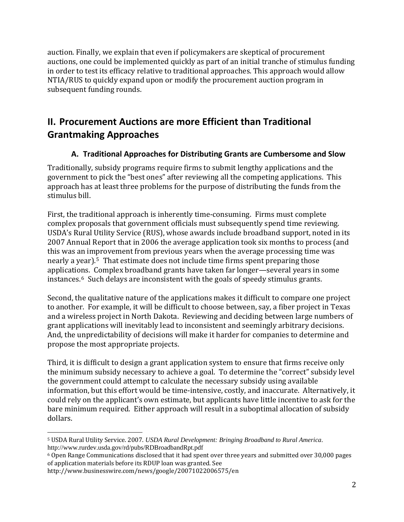<span id="page-4-0"></span>auction. Finally, we explain that even if policymakers are skeptical of procurement auctions, one could be implemented quickly as part of an initial tranche of stimulus funding in order to test its efficacy relative to traditional approaches. This approach would allow NTIA/RUS to quickly expand upon or modify the procurement auction program in subsequent funding rounds.

## **II. Procurement Auctions are more Efficient than Traditional Grantmaking Approaches**

### **A. Traditional Approaches for Distributing Grants are Cumbersome and Sl ow**

Traditionally, subsidy programs require firms to submit lengthy applications and the government to pick the "best ones" after reviewing all the competing applications. This approach has at least three problems for the purpose of distributing the funds from the stimulus bill.

First, the traditional approach is inherently time‐consuming. Firms must complete complex proposals that government officials must subsequently spend time reviewing. USDA's Rural Utility Service (RUS), whose awards include broadband support, noted in its 2007 Annual Report that in 2006 the average application took six months to process (and this was an improvement from previous years when the average processing time was nearly a year).[5](#page-4-1) That estimate does not include time firms spent preparing those applications. Complex broadband grants have taken far longer—several years in some instances.6 Such delays are inconsistent with the goals of speedy stimulus grants.

Second, the qualitative nature of the applications makes it difficult to compare one project to another. For example, it will be difficult to choose between, say, a fiber project in Texas and a wireless project in North Dakota. Reviewing and deciding between large numbers of grant applications will inevitably lead to inconsistent and seemingly arbitrary decisions. And, the unpredictability of decisions will make it harder for companies to determine and propose the most appropriate projects.

dollars. Third, it is difficult to design a grant application system to ensure that firms receive only the minimum subsidy necessary to achieve a goal. To determine the "correct" subsidy level the government could attempt to calculate the necessary subsidy using available information, but this effort would be time‐intensive, costly, and inaccurate. Alternatively, it could rely on the applicant's own estimate, but applicants have little incentive to ask for the bare minimum required. Either approach will result in a suboptimal allocation of subsidy

<span id="page-4-1"></span><sup>5</sup> USDA Rural Utility Service. 2007. *USDA Rural Development: Bringing Broadband to Rural America*. http://www.rurdev.usda.gov/rd/pubs/RDBroadbandRpt.pdf

<sup>6</sup> Open Range Communications disclosed that it had spent over three years and submitted over 30,000 pages of application materials before its RDUP loan was granted. See

http://www.businesswire.com/news/google/20071022006575/en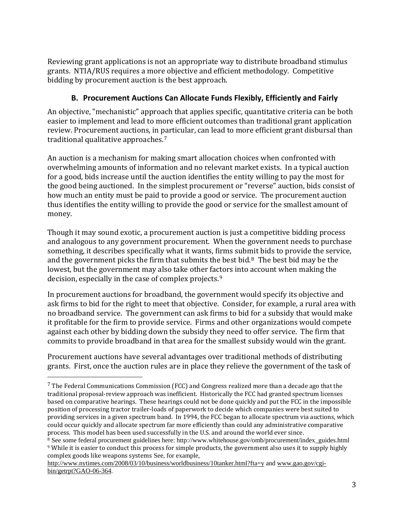<span id="page-5-0"></span>Reviewing grant applications is not an appropriate way to distribute broadband stimulus grants. NTIA/RUS requires a more objective and efficient methodology. Competitive bidding by procurement auction is the best approach.

## **B. Procurement Auctions Can Allocate Funds Flexibly, Efficiently and Fairly**

An objective, "mechanistic" approach that applies specific, quantitative criteria can be both easier to implement and lead to more efficient outcomes than traditional grant application review. Procurement auctions, in particular, can lead to more efficient grant disbursal than traditional qualitative approaches.7

An auction is a mechanism for making smart allocation choices when confronted with overwhelming amounts of information and no relevant market exists. In a typical auction for a good, bids increase until the auction identifies the entity willing to pay the most for the good being auctioned. In the simplest procurement or "reverse" auction, bids consist of how much an entity must be paid to provide a good or service. The procurement auction thus identifies the entity willing to provide the good or service for the smallest amount of money.

Though it may sound exotic, a procurement auction is just a competitive bidding process and analogous to any government procurement. When the government needs to purchase something, it describes specifically what it wants, firms sub[mi](#page-5-1)t bids to provide the service, and the government picks the firm that submits the best bid.8 The best bid may be the lowest, but the government may also take other factors into account when making the decision, especially in the case of complex projects.9

In procurement auctions for broadband, the government would specify its objective and ask firms to bid for the right to meet that objective. Consider, for example, a rural area with no broadband service. The government can ask firms to bid for a subsidy that would make it profitable for the firm to provide service. Firms and other organizations would compete against each other by bidding down the subsidy they need to offer service. The firm that commits to provide broadband in that area for the smallest subsidy would win the grant.

Procurement auctions have s everal advantages over traditional methods of distributing g rants. First, once the auction rules are in place they relieve the government of the task of

 $<sup>7</sup>$  The Federal Communications Commission (FCC) and Congress realized more than a decade ago that the</sup> traditional proposal‐review approach was inefficient. Historically the FCC had granted spectrum licenses based on comparative hearings. These hearings could not be done quickly and put the FCC in the impossible position of processing tractor trailer‐loads of paperwork to decide which companies were best suited to providing services in a given spectrum band. In 1994, the FCC began to allocate spectrum via auctions, which could occur quickly and allocate spectrum far more efficiently than could any administrative comparative process. This model has been used successfully in the U.S. and around the world ever since.

<span id="page-5-1"></span><sup>&</sup>lt;sup>8</sup> See some federal procurement guidelines here: http://www.whitehouse.gov/omb/procurement/index\_guides.html <sup>9</sup> While it is easier to conduct this process for simple products, the government also uses it to supply highly complex goods like weapons systems See, for example,

<http://www.nytimes.com/2008/03/10/business/worldbusiness/10tanker.html?fta=y>and [www.gao.gov/cgi](http://www.gao.gov/cgi-bin/getrpt?GAO-06-364)[bin/getrpt?GAO-06-364.](http://www.gao.gov/cgi-bin/getrpt?GAO-06-364)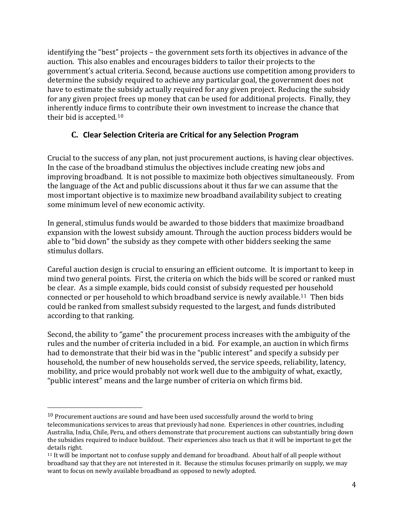<span id="page-6-0"></span>identifying the "best" projects – the government sets forth its objectives in advance of the auction. This also enables and encourages bidders to tailor their projects to the government's actual criteria. Second, because auctions use competition among providers to determine the subsidy required to achieve any particular goal, the government does not have to estimate the subsidy actually required for any given project. Reducing the subsidy for any given project frees up money that can be used for additional projects. Finally, they inherently induce firms to contribute their own investment to increase the chance that their bid is accepted.[10](#page-6-1)

## **C. Clear Selection Criteria are Critical for any Selection Program**

Crucial to the success of any plan, not just procurement auctions, is having clear objectives. In the case of the broadband stimulus the objectives include creating new jobs and improving broadband. It is not possible to maximize both objectives simultaneously. From the language of the Act and public discussions about it thus far we can assume that the most important objective is to maximize new broadband availability subject to creating some minimum level of new economic activity.

In general, stimulus funds would be awarded to those bidders that maximize broadband expansion with the lowest subsidy amount. Through the auction process bidders would be able to "bid down" the subsidy as they compete with other bidders seeking the same stimulus dollars.

Careful auction design is crucial to ensuring an efficient outcome. It is important to keep in mind two general points. First, the criteria on which the bids will be scored or ranked must be clear. As a simple example, bids could consist of subsidy requested per household connected or per household to which broadband service is newly available.11 Then bids could be ranked from smallest subsidy requested to the largest, and funds [dis](#page-6-2)tributed according to that ranking.

Second, the ability to "game" the procurement process increases with the ambiguity of the rules and the number of criteria included in a bid. For example, an auction in which firms had to demonstrate that their bid was in the "public interest" and specify a subsidy per household, the number of new households served, the service speeds, reliability, latency, mobility, and price would probably not work well due to the ambiguity of what, exactly, "public interest" means and the large number of criteria on which firms bid.

<span id="page-6-1"></span> $10$  Procurement auctions are sound and have been used successfully around the world to bring telecommunications services to areas that previously had none. Experiences in other countries, including Australia, India, Chile, Peru, and others demonstrate that procurement auctions can substantially bring down the subsidies required to induce buildout. Their experiences also teach us that it will be important to get the details right.

<span id="page-6-2"></span><sup>11</sup> It will be important not to confuse supply and demand for broadband. About half of all people without broadband say that they are not interested in it. Because the stimulus focuses primarily on supply, we may want to focus on newly available broadband as opposed to newly adopted.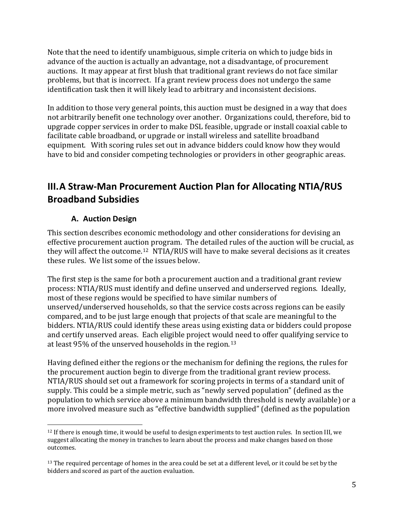<span id="page-7-0"></span>Note that the need to identify unambiguous, simple criteria on which to judge bids in advance of the auction is actually an advantage, not a disadvantage, of procurement auctions. It may appear at first blush that traditional grant reviews do not face similar problems, but that is incorrect. If a grant review process does not undergo the same identification task then it will likely lead to arbitrary and inconsistent decisions.

In addition to those very general points, this auction must be designed in a way that does not arbitrarily benefit one technology over another. Organizations could, therefore, bid to upgrade copper services in order to make DSL feasible, upgrade or install coaxial cable to facilitate cable broadband, or upgrade or install wireless and satellite broadband equipment. With scoring rules set out in advance bidders could know how they would have to bid and consider competing technologies or providers in other geographic areas.

# **III.A Straw‐Man Procurement Auction Plan for Allocating NTIA/RUS Broadband Subsidies**

### **A. Auction Design**

This section describes economic methodology and other considerations for devising an effective procurement aucti[on](#page-7-1) program. The detailed rules of the auction will be crucial, as they will affect the outcome.12 NTIA/RUS will have to make several decisions as it creates these rules. We list some of the issues below.

The first step is the same for both a procurement auction and a traditional grant review process: NTIA/RUS must identify and define unserved and underserved regions. Ideally, most of these regions would be specified to have similar numbers of unserved/underserved households, so that the service costs across regions can be easily compared, and to be just large enough that projects of that scale are meaningful to the bidders. NTIA/RUS could identify these areas using existing data or bidders could propose and certify unserved areas. Each eligible project woul[d n](#page-8-1)eed to offer qualifying service to at least 95% of the unserved households in the region.13

more involved measure such as "effective bandwidth supplied" (defined as the population Having defined either the regions or the mechanism for defining the regions, the rules for the procurement auction begin to diverge from the traditional grant review process. NTIA/RUS should set out a framework for scoring projects in terms of a standard unit of supply. This could be a simple metric, such as "newly served population" (defined as the population to which service above a minimum bandwidth threshold is newly available) or a

<span id="page-7-1"></span><sup>&</sup>lt;sup>12</sup> If there is enough time, it would be useful to design experiments to test auction rules. In section III, we suggest allocating the money in tranches to learn about the process and make changes based on those outcomes.

 $13$  The required percentage of homes in the area could be set at a different level, or it could be set by the bidders and scored as part of the auction evaluation.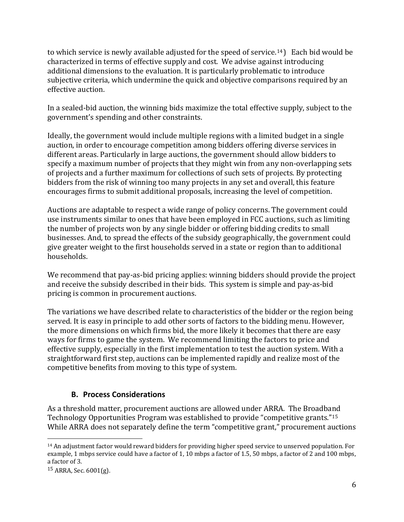<span id="page-8-0"></span>to which service is newly available adjusted for the speed of service.<sup>[14](#page-8-1)</sup>) Each bid would be characterized in terms of effective supply and cost. We advise against introducing additional dimensions to the evaluation. It is particularly problematic to introduce subjective criteria, which undermine the quick and objective comparisons required by an effective auction.

In a sealed‐bid auction, the winning bids maximize the total effective supply, subject to the government's spending and other constraints.

Ideally, the government would include multiple regions with a limited budget in a single auction, in order to encourage competition among bidders offering diverse services in different areas. Particularly in large auctions, the government should allow bidders to specify a maximum number of projects that they might win from any non‐overlapping sets of projects and a further maximum for collections of such sets of projects. By protecting bidders from the risk of winning too many projects in any set and overall, this feature encourages firms to submit additional proposals, increasing the level of competition.

Auctions are adaptable to respect a wide range of policy concerns. The government could use instruments similar to ones that have been employed in FCC auctions, such as limiting the number of projects won by any single bidder or offering bidding credits to small businesses. And, to spread the effects of the subsidy geographically, the government could give greater weight to the first households served in a state or region than to additional households.

We recommend that pay-as-bid pricing applies: winning bidders should provide the project and receive the subsidy described in their bids. This system is simple and pay‐as‐bid pricing is common in procurement auctions.

The variations we have described relate to characteristics of the bidder or the region being served. It is easy in principle to add other sorts of factors to the bidding menu. However, the more dimensions on which firms bid, the more likely it becomes that there are easy ways for firms to game the system. We recommend limiting the factors to price and effective supply, especially in the first implementation to test the auction system. With a traightforward first step, auctions can be implemented rapidly and realize most of the s ompetitive benefits from moving to this type of system. c

### **B. Process Considerations**

Technology Opportunities Program was established to provide "competitive grants."<sup>[15](#page-8-2)</sup> While ARRA does not separately define the term "competitive grant," procurement auctions As a threshold matter, procurement auctions are allowed under ARRA. The Broadband

<span id="page-8-1"></span> <sup>14</sup> An adjustment factor would reward bidders for providing higher speed service to unserved population. For example, 1 mbps service could have a factor of 1, 10 mbps a factor of 1.5, 50 mbps, a factor of 2 and 100 mbps, a factor of 3.

<span id="page-8-2"></span><sup>15</sup> ARRA, Sec. 6001(g).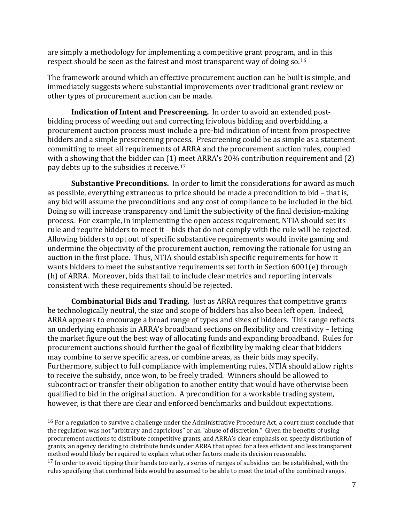are simply a methodology for implementing a competitive grant program, and in this respect should be seen as the fairest and most transparent way of doing so.16

The framework around which an effective procurement auction can be built is simple, and immediately suggests where substantial improvements over traditional grant review or other types of procurement auction can be made.

**Indication of Intent and Prescreening.** In order to avoid an extended post‐ bidding process of weeding out and correcting frivolous bidding and overbidding, a procurement auction process must include a pre‐bid indication of intent from prospective bidders and a simple prescreening process. Prescreening could be as simple as a statement committing to meet all requirements of ARRA and the procurement auction rules, coupled with a showing that the bidder can (1) meet ARRA's 20% contribution requirement and (2) pay debts up to the subsidies it receive.17

**Substantive Preconditions.** In order to limit the considerations for award as much as possible, everything extraneous to price should be made a precondition to bid – that is, any bid will assume the preconditions and any cost of compliance to be included in the bid. Doing so will increase transparency and limit the subjectivity of the final decision-making process. For example, in implementing the open access requirement, NTIA should set its rule and require bidders to meet it – bids that do not comply with the rule will be rejected. Allowing bidders to opt out of specific substantive requirements would invite gaming and undermine the objectivity of the procurement auction, removing the rationale for using an auction in the first place. Thus, NTIA should establish specific requirements for how it wants bidders to meet the substantive requirements set forth in Section 6001(e) through (h) of ARRA. Moreover, bids that fail to include clear metrics and reporting intervals consistent with these requirements should be rejected.

qualified to bid in the original auction. A precondition for a workable trading system, ho wever, is that there are clear and enforced benchmarks and buildout expectations. **Combinatorial Bids and Trading.** Just as ARRA requires that competitive grants be technologically neutral, the size and scope of bidders has also been left open. Indeed, ARRA appears to encourage a broad range of types and sizes of bidders. This range reflects an underlying emphasis in ARRA's broadband sections on flexibility and creativity – letting the market figure out the best way of allocating funds and expanding broadband. Rules for procurement auctions should further the goal of flexibility by making clear that bidders may combine to serve specific areas, or combine areas, as their bids may specify. Furthermore, subject to full compliance with implementing rules, NTIA should allow rights to receive the subsidy, once won, to be freely traded. Winners should be allowed to subcontract or transfer their obligation to another entity that would have otherwise been

<sup>&</sup>lt;sup>16</sup> For a regulation to survive a challenge under the Administrative Procedure Act, a court must conclude that the regulation was not "arbitrary and capricious" or an "abuse of discretion." Given the benefits of using procurement auctions to distribute competitive grants, and ARRA's clear emphasis on speedy distribution of grants, an agency deciding to distribute funds under ARRA that opted for a less efficient and less transparent method would likely be required to explain what other factors made its decision reasonable.

 $17$  In order to avoid tipping their hands too early, a series of ranges of subsidies can be established, with the rules specifying that combined bids would be assumed to be able to meet the total of the combined ranges.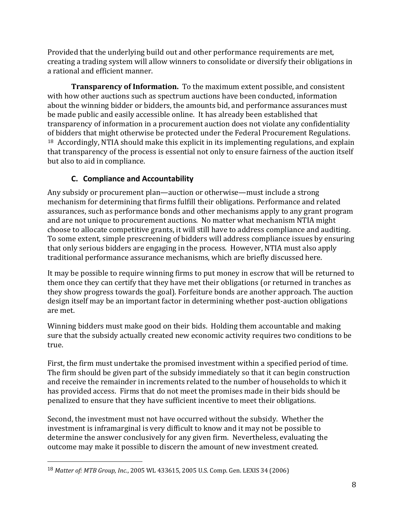<span id="page-10-0"></span>Provided that the underlying build out and other performance requirements are met, creating a trading system will allow winners to consolidate or diversify their obligations in a rational and efficient manner.

**Transparency of Information.** To the maximum extent possible, and consistent with how other auctions such as spectrum auctions have been conducted, information about the winning bidder or bidders, the amounts bid, and performance assurances must be made public and easily accessible online. It has already been established that transparency of information in a procurement auction does not violate any confidentiality [of](#page-10-1) bidders that might otherwise be protected under the Federal Procurement Regulations. 18 Accordingly, NTIA should make this explicit in its implementing regulations, and explain that transparency of the process is essential not only to ensure fairness of the auction itself but also to aid in compliance.

## **C. Compliance and Accountability**

Any subsidy or procurement plan—auction or otherwise—must include a strong mechanism for determining that firms fulfill their obligations. Performance and related assurances, such as performance bonds and other mechanisms apply to any grant program and are not unique to procurement auctions. No matter what mechanism NTIA might choose to allocate competitive grants, it will still have to address compliance and auditing. To some extent, simple prescreening of bidders will address compliance issues by ensuring that only serious bidders are engaging in the process. However, NTIA must also apply traditional performance assurance mechanisms, which are briefly discussed here.

It may be possible to require winning firms to put money in escrow that will be returned to them once they can certify that they have met their obligations (or returned in tranches as they show progress towards the goal). Forfeiture bonds are another approach. The auction design itself may be an important factor in determining whether post-auction obligations are met.

Winning bidders must make good on their bids. Holding them accountable and making sure that the subsidy actually created new economic activity requires two conditions to be true.

First, the firm must undertake the promised investment within a specified period of time. The firm should be given part of the subsidy immediately so that it can begin construction and receive the remainder in increments related to the number of households to which it has provided access. Firms that do not meet the promises made in their bids should be penalized to ensure that they have sufficient incentive to meet their obligations.

outcome may make it possib le to discern the amount of new investment created. Second, the investment must not have occurred without the subsidy. Whether the investment is inframarginal is very difficult to know and it may not be possible to determine the answer conclusively for any given firm. Nevertheless, evaluating the

<span id="page-10-1"></span><sup>18</sup> *Matter of: MTB Group, Inc.*, 2005 WL 433615, 2005 U.S. Comp. Gen. LEXIS 34 (2006)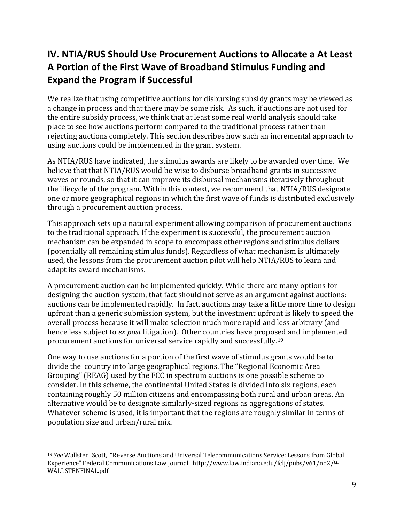# <span id="page-11-0"></span>**IV. NTIA/RUS Should Use Procurement Auctions to Allocate a At Least A Portion of the First Wave of Broadband Stimulus Funding and Expand the Program if Successful**

We realize that using competitive auctions for disbursing subsidy grants may be viewed as a change in process and that there may be some risk. As such, if auctions are not used for the entire subsidy process, we think that at least some real world analysis should take place to see how auctions perform compared to the traditional process rather than rejecting auctions completely. This section describes how such an incremental approach to using auctions could be implemented in the grant system.

As NTIA/RUS have indicated, the stimulus awards are likely to be awarded over time. We believe that that NTIA/RUS would be wise to disburse broadband grants in successive waves or rounds, so that it can improve its disbursal mechanisms iteratively throughout the lifecycle of the program. Within this context, we recommend that NTIA/RUS designate one or more geographical regions in which the first wave of funds is distributed exclusively through a procurement auction process.

This approach sets up a natural experiment allowing comparison of procurement auctions to the traditional approach. If the experiment is successful, the procurement auction mechanism can be expanded in scope to encompass other regions and stimulus dollars (potentially all remaining stimulus funds). Regardless of what mechanism is ultimately used, the lessons from the procurement auction pilot will help NTIA/RUS to learn and adapt its award mechanisms.

A procurement auction can be implemented quickly. While there are many options for designing the auction system, that fact should not serve as an argument against auctions: auctions can be implemented rapidly. In fact, auctions may take a little more time to design upfront than a generic submission system, but the investment upfront is likely to speed the overall process because it will make selection much more rapid and less arbitrary (and hence less subject to *ex post* litigation). Other countries have proposed and implemented procurement auctions for universal service rapidly and successfully.19

One way to use auctions for a portion of the first wave of stimulus grants would be to divide the country into large geographical regions. The "Regional Economic Area Grouping" (REAG) used by the FCC in spectrum auctions is one possible scheme to consider. In this scheme, the continental United States is divided into six regions, each containing roughly 50 million citizens and encompassing both rural and urban areas. An alternative would be to designate similarly‐sized regions as aggregations of states. Whatever scheme is used, it is important that the regions are roughly similar in terms of population size and urban/rural mix.

<sup>19</sup> *See* Wallsten, Scott, "Reverse Auctions and Universal Telecommunications Service: Lessons from Global Experience" Federal Communications Law Journal. http://www.law.indiana.edu/fclj/pubs/v61/no2/9‐ WALLSTENFINAL.pdf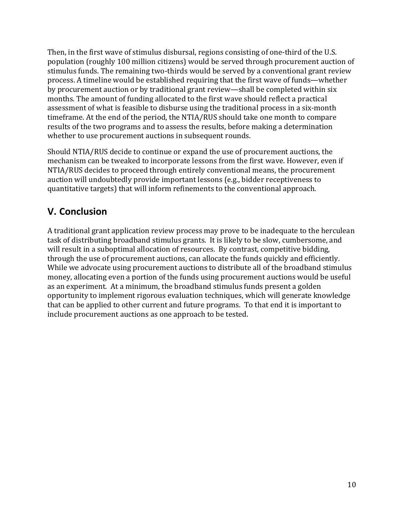<span id="page-12-0"></span>Then, in the first wave of stimulus disbursal, regions consisting of one-third of the U.S. population (roughly 100 million citizens) would be served through procurement auction of stimulus funds. The remaining two-thirds would be served by a conventional grant review process. A timeline would be established requiring that the first wave of funds—whether by procurement auction or by traditional grant review—shall be completed within six months. The amount of funding allocated to the first wave should reflect a practical assessment of what is feasible to disburse using the traditional process in a six‐month timeframe. At the end of the period, the NTIA/RUS should take one month to compare results of the two programs and to assess the results, before making a determination whether to use procurement auctions in subsequent rounds.

Should NTIA/RUS decide to continue or expand the use of procurement auctions, the mechanism can be tweaked to incorporate lessons from the first wave. However, even if NTIA/RUS decides to proceed through entirely conventional means, the procurement auction will undoubtedly provide important lessons (e.g., bidder receptiveness to quantitative targets) that will inform refinements to the conventional approach.

# **V. Conclusion**

A traditional grant application review process may prove to be inadequate to the herculean task of distributing broadband stimulus grants. It is likely to be slow, cumbersome, and will result in a suboptimal allocation of resources. By contrast, competitive bidding, through the use of procurement auctions, can allocate the funds quickly and efficiently. While we advocate using procurement auctions to distribute all of the broadband stimulus money, allocating even a portion of the funds using procurement auctions would be useful as an experiment. At a minimum, the broadband stimulus funds present a golden opportunity to implement rigorous evaluation techniques, which will generate knowledge that can be applied to other current and future programs. To that end it is important to include procurement auctions as one approach to be tested.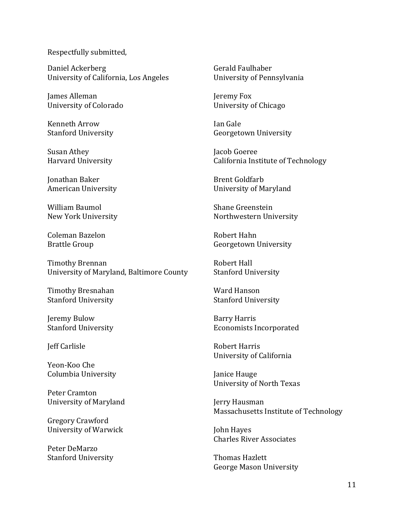Respectfully submitted,

Daniel Ackerberg University of California, Los Angeles

James Alleman University of Colorado

**Kenneth Arrow Stanford University** 

Susan Athey **Harvard University** 

**Ionathan Baker American University** 

William Baumol New York University

Coleman Bazelon **Brattle Group** 

**Timothy Brennan** University of Maryland, Baltimore County

Timothy Bresnahan **Stanford University** 

Jeremy Bulow **Stanford University** 

Jeff Carlisle

Yeon-Koo Che Columbia University

Peter Cramton **University of Maryland** 

**Gregory Crawford** University of Warwick

Peter DeMarzo **Stanford University** 

Gerald Faulhaber University of Pennsylvania

Jeremy Fox University of Chicago

Ian Gale Georgetown University

Jacob Goeree California Institute of Technology

**Brent Goldfarb** University of Maryland

Shane Greenstein Northwestern University

Robert Hahn Georgetown University

Robert Hall **Stanford University** 

Ward Hanson **Stanford University** 

**Barry Harris Economists Incorporated** 

Robert Harris University of California

Janice Hauge **University of North Texas** 

Jerry Hausman Massachusetts Institute of Technology

John Hayes **Charles River Associates** 

Thomas Hazlett **George Mason University**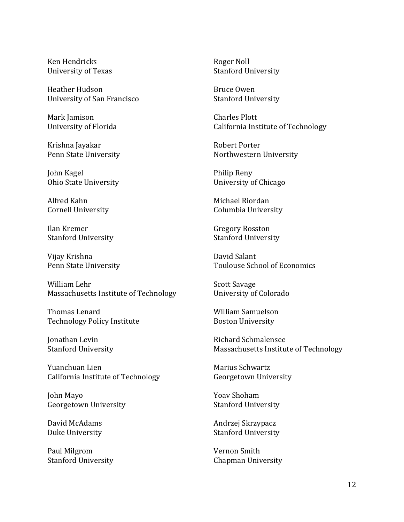Ken Hendricks University of Texas

Heather Hudson University of San Francisco

Mark Jamison University of Florida

Krishna Jayakar Penn State University

John Kagel Ohio State University

Alfred Kahn **Cornell University** 

Ilan Kremer **Stanford University** 

Vijay Krishna Penn State University

William Lehr Massachusetts Institute of Technology

Thomas Lenard **Technology Policy Institute** 

Jonathan Levin **Stanford University** 

Yuanchuan Lien California Institute of Technology

John Mayo Georgetown University

David McAdams Duke University

Paul Milgrom **Stanford University**  Roger Noll **Stanford University** 

Bruce Owen **Stanford University** 

Charles Plott California Institute of Technology

**Robert Porter** Northwestern University

Philip Reny University of Chicago

Michael Riordan Columbia University

**Gregory Rosston Stanford University** 

David Salant **Toulouse School of Economics** 

**Scott Savage** University of Colorado

**William Samuelson Boston University** 

Richard Schmalensee Massachusetts Institute of Technology

Marius Schwartz Georgetown University

Yoav Shoham **Stanford University** 

Andrzej Skrzypacz **Stanford University** 

Vernon Smith **Chapman University**